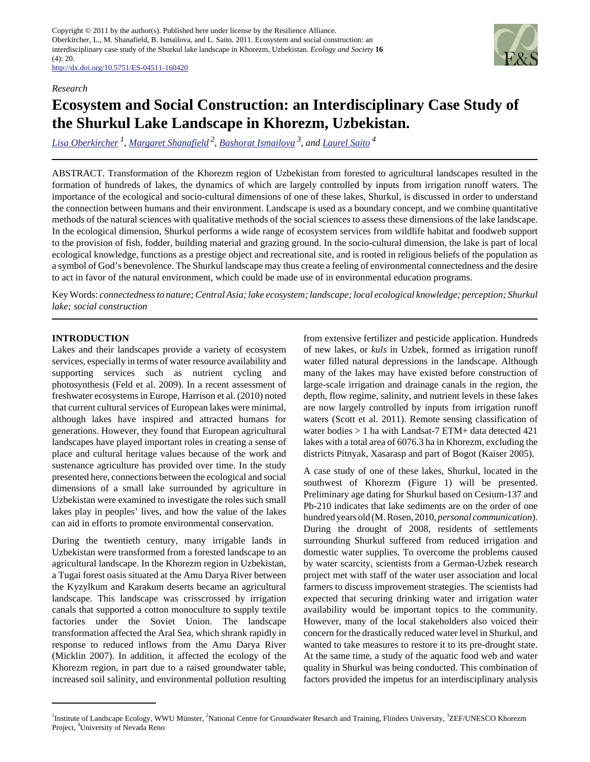<http://dx.doi.org/10.5751/ES-04511-160420>

## *Research*

# **Ecosystem and Social Construction: an Interdisciplinary Case Study of the Shurkul Lake Landscape in Khorezm, Uzbekistan.**

*[Lisa Oberkircher](mailto:lisa.oberkircher@uni-bonn.de)<sup>1</sup> , [Margaret Shanafield](mailto:mshanafield@yahoo.com)<sup>2</sup> , [Bashorat Ismailova](mailto:bashorat.ismailova@gmail.com) 3, and [Laurel Saito](mailto:lsaito@cabnr.unr.edu)<sup>4</sup>*

ABSTRACT. Transformation of the Khorezm region of Uzbekistan from forested to agricultural landscapes resulted in the formation of hundreds of lakes, the dynamics of which are largely controlled by inputs from irrigation runoff waters. The importance of the ecological and socio-cultural dimensions of one of these lakes, Shurkul, is discussed in order to understand the connection between humans and their environment. Landscape is used as a boundary concept, and we combine quantitative methods of the natural sciences with qualitative methods of the social sciences to assess these dimensions of the lake landscape. In the ecological dimension, Shurkul performs a wide range of ecosystem services from wildlife habitat and foodweb support to the provision of fish, fodder, building material and grazing ground. In the socio-cultural dimension, the lake is part of local ecological knowledge, functions as a prestige object and recreational site, and is rooted in religious beliefs of the population as a symbol of God's benevolence. The Shurkul landscape may thus create a feeling of environmental connectedness and the desire to act in favor of the natural environment, which could be made use of in environmental education programs.

Key Words: *connectedness to nature; Central Asia; lake ecosystem; landscape; local ecological knowledge; perception; Shurkul lake; social construction*

# **INTRODUCTION**

Lakes and their landscapes provide a variety of ecosystem services, especially in terms of water resource availability and supporting services such as nutrient cycling and photosynthesis (Feld et al. 2009). In a recent assessment of freshwater ecosystems in Europe, Harrison et al. (2010) noted that current cultural services of European lakes were minimal, although lakes have inspired and attracted humans for generations. However, they found that European agricultural landscapes have played important roles in creating a sense of place and cultural heritage values because of the work and sustenance agriculture has provided over time. In the study presented here, connections between the ecological and social dimensions of a small lake surrounded by agriculture in Uzbekistan were examined to investigate the roles such small lakes play in peoples' lives, and how the value of the lakes can aid in efforts to promote environmental conservation.

During the twentieth century, many irrigable lands in Uzbekistan were transformed from a forested landscape to an agricultural landscape. In the Khorezm region in Uzbekistan, a Tugai forest oasis situated at the Amu Darya River between the Kyzylkum and Karakum deserts became an agricultural landscape. This landscape was crisscrossed by irrigation canals that supported a cotton monoculture to supply textile factories under the Soviet Union. The landscape transformation affected the Aral Sea, which shrank rapidly in response to reduced inflows from the Amu Darya River (Micklin 2007). In addition, it affected the ecology of the Khorezm region, in part due to a raised groundwater table, increased soil salinity, and environmental pollution resulting from extensive fertilizer and pesticide application. Hundreds of new lakes, or *kuls* in Uzbek, formed as irrigation runoff water filled natural depressions in the landscape. Although many of the lakes may have existed before construction of large-scale irrigation and drainage canals in the region, the depth, flow regime, salinity, and nutrient levels in these lakes are now largely controlled by inputs from irrigation runoff waters (Scott et al. 2011). Remote sensing classification of water bodies > 1 ha with Landsat-7 ETM+ data detected 421 lakes with a total area of 6076.3 ha in Khorezm, excluding the districts Pitnyak, Xasarasp and part of Bogot (Kaiser 2005).

A case study of one of these lakes, Shurkul, located in the southwest of Khorezm (Figure 1) will be presented. Preliminary age dating for Shurkul based on Cesium-137 and Pb-210 indicates that lake sediments are on the order of one hundred years old (M. Rosen, 2010, *personal communication*). During the drought of 2008, residents of settlements surrounding Shurkul suffered from reduced irrigation and domestic water supplies. To overcome the problems caused by water scarcity, scientists from a German-Uzbek research project met with staff of the water user association and local farmers to discuss improvement strategies. The scientists had expected that securing drinking water and irrigation water availability would be important topics to the community. However, many of the local stakeholders also voiced their concern for the drastically reduced water level in Shurkul, and wanted to take measures to restore it to its pre-drought state. At the same time, a study of the aquatic food web and water quality in Shurkul was being conducted. This combination of factors provided the impetus for an interdisciplinary analysis



<sup>&</sup>lt;sup>1</sup>Institute of Landscape Ecology, WWU Münster, <sup>2</sup>National Centre for Groundwater Resarch and Training, Flinders University, <sup>3</sup>ZEF/UNESCO Khorezm Project, <sup>4</sup>University of Nevada Reno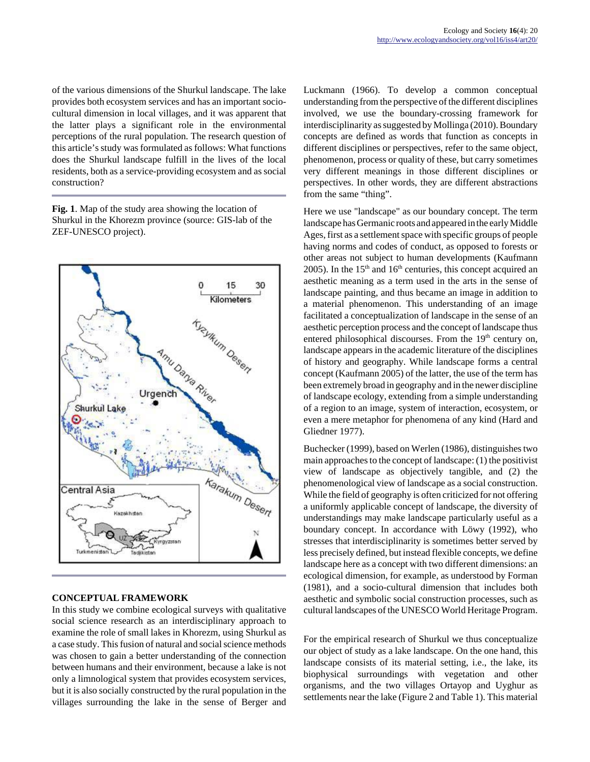of the various dimensions of the Shurkul landscape. The lake provides both ecosystem services and has an important sociocultural dimension in local villages, and it was apparent that the latter plays a significant role in the environmental perceptions of the rural population. The research question of this article's study was formulated as follows: What functions does the Shurkul landscape fulfill in the lives of the local residents, both as a service-providing ecosystem and as social construction?

**Fig. 1**. Map of the study area showing the location of Shurkul in the Khorezm province (source: GIS-lab of the ZEF-UNESCO project).



## **CONCEPTUAL FRAMEWORK**

In this study we combine ecological surveys with qualitative social science research as an interdisciplinary approach to examine the role of small lakes in Khorezm, using Shurkul as a case study. This fusion of natural and social science methods was chosen to gain a better understanding of the connection between humans and their environment, because a lake is not only a limnological system that provides ecosystem services, but it is also socially constructed by the rural population in the villages surrounding the lake in the sense of Berger and Luckmann (1966). To develop a common conceptual understanding from the perspective of the different disciplines involved, we use the boundary-crossing framework for interdisciplinarity as suggested by Mollinga (2010). Boundary concepts are defined as words that function as concepts in different disciplines or perspectives, refer to the same object, phenomenon, process or quality of these, but carry sometimes very different meanings in those different disciplines or perspectives. In other words, they are different abstractions from the same "thing".

Here we use "landscape" as our boundary concept. The term landscape has Germanic roots and appeared in the early Middle Ages, first as a settlement space with specific groups of people having norms and codes of conduct, as opposed to forests or other areas not subject to human developments (Kaufmann 2005). In the  $15<sup>th</sup>$  and  $16<sup>th</sup>$  centuries, this concept acquired an aesthetic meaning as a term used in the arts in the sense of landscape painting, and thus became an image in addition to a material phenomenon. This understanding of an image facilitated a conceptualization of landscape in the sense of an aesthetic perception process and the concept of landscape thus entered philosophical discourses. From the  $19<sup>th</sup>$  century on, landscape appears in the academic literature of the disciplines of history and geography. While landscape forms a central concept (Kaufmann 2005) of the latter, the use of the term has been extremely broad in geography and in the newer discipline of landscape ecology, extending from a simple understanding of a region to an image, system of interaction, ecosystem, or even a mere metaphor for phenomena of any kind (Hard and Gliedner 1977).

Buchecker (1999), based on Werlen (1986), distinguishes two main approaches to the concept of landscape: (1) the positivist view of landscape as objectively tangible, and (2) the phenomenological view of landscape as a social construction. While the field of geography is often criticized for not offering a uniformly applicable concept of landscape, the diversity of understandings may make landscape particularly useful as a boundary concept. In accordance with Löwy (1992), who stresses that interdisciplinarity is sometimes better served by less precisely defined, but instead flexible concepts, we define landscape here as a concept with two different dimensions: an ecological dimension, for example, as understood by Forman (1981), and a socio-cultural dimension that includes both aesthetic and symbolic social construction processes, such as cultural landscapes of the UNESCO World Heritage Program.

For the empirical research of Shurkul we thus conceptualize our object of study as a lake landscape. On the one hand, this landscape consists of its material setting, i.e., the lake, its biophysical surroundings with vegetation and other organisms, and the two villages Ortayop and Uyghur as settlements near the lake (Figure 2 and Table 1). This material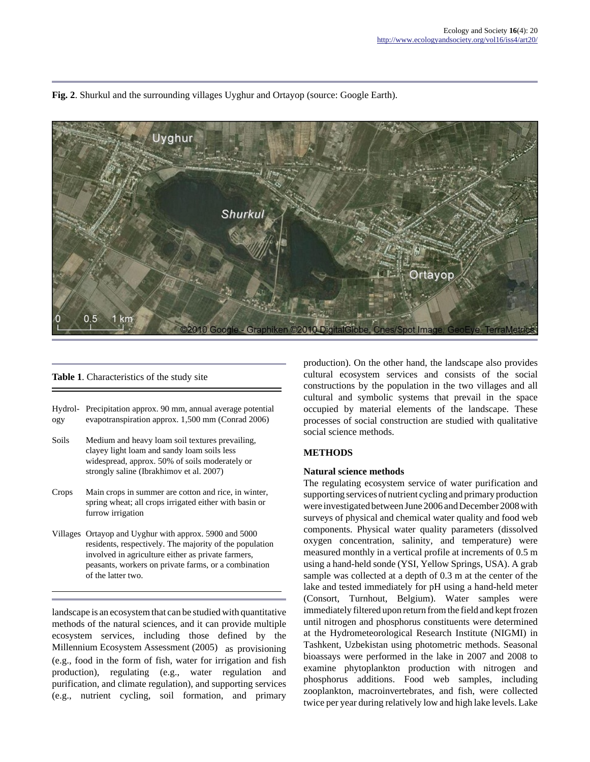**Fig. 2**. Shurkul and the surrounding villages Uyghur and Ortayop (source: Google Earth).



#### **Table 1**. Characteristics of the study site

|     | Hydrol- Precipitation approx. 90 mm, annual average potential |
|-----|---------------------------------------------------------------|
| ogy | evapotranspiration approx. 1,500 mm (Conrad 2006)             |

- Soils Medium and heavy loam soil textures prevailing, clayey light loam and sandy loam soils less widespread, approx. 50% of soils moderately or strongly saline (Ibrakhimov et al. 2007)
- Crops Main crops in summer are cotton and rice, in winter, spring wheat; all crops irrigated either with basin or furrow irrigation
- Villages Ortayop and Uyghur with approx. 5900 and 5000 residents, respectively. The majority of the population involved in agriculture either as private farmers, peasants, workers on private farms, or a combination of the latter two.

landscape is an ecosystem that can be studied with quantitative methods of the natural sciences, and it can provide multiple ecosystem services, including those defined by the Millennium Ecosystem Assessment (2005) as provisioning (e.g., food in the form of fish, water for irrigation and fish production), regulating (e.g., water regulation and purification, and climate regulation), and supporting services (e.g., nutrient cycling, soil formation, and primary

production). On the other hand, the landscape also provides cultural ecosystem services and consists of the social constructions by the population in the two villages and all cultural and symbolic systems that prevail in the space occupied by material elements of the landscape. These processes of social construction are studied with qualitative social science methods.

#### **METHODS**

#### **Natural science methods**

The regulating ecosystem service of water purification and supporting services of nutrient cycling and primary production were investigated between June 2006 and December 2008 with surveys of physical and chemical water quality and food web components. Physical water quality parameters (dissolved oxygen concentration, salinity, and temperature) were measured monthly in a vertical profile at increments of 0.5 m using a hand-held sonde (YSI, Yellow Springs, USA). A grab sample was collected at a depth of 0.3 m at the center of the lake and tested immediately for pH using a hand-held meter (Consort, Turnhout, Belgium). Water samples were immediately filtered upon return from the field and kept frozen until nitrogen and phosphorus constituents were determined at the Hydrometeorological Research Institute (NIGMI) in Tashkent, Uzbekistan using photometric methods. Seasonal bioassays were performed in the lake in 2007 and 2008 to examine phytoplankton production with nitrogen and phosphorus additions. Food web samples, including zooplankton, macroinvertebrates, and fish, were collected twice per year during relatively low and high lake levels. Lake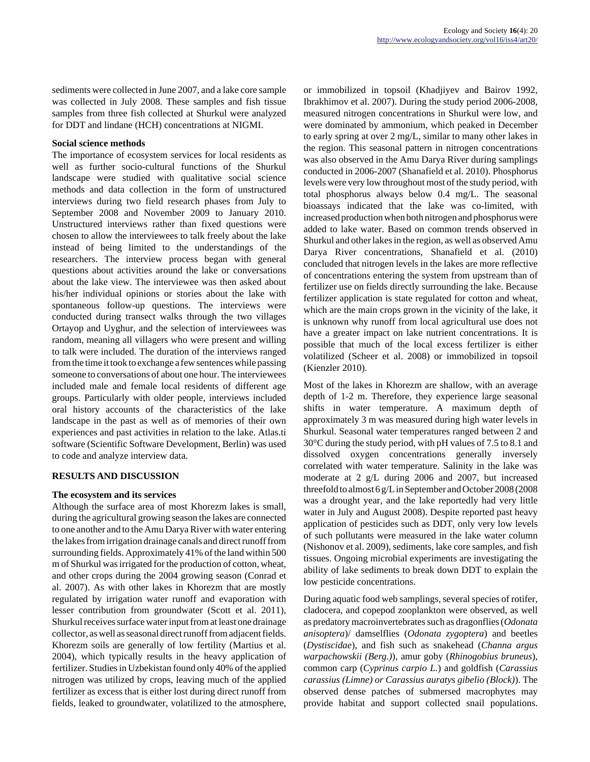sediments were collected in June 2007, and a lake core sample was collected in July 2008. These samples and fish tissue samples from three fish collected at Shurkul were analyzed for DDT and lindane (HCH) concentrations at NIGMI.

## **Social science methods**

The importance of ecosystem services for local residents as well as further socio-cultural functions of the Shurkul landscape were studied with qualitative social science methods and data collection in the form of unstructured interviews during two field research phases from July to September 2008 and November 2009 to January 2010. Unstructured interviews rather than fixed questions were chosen to allow the interviewees to talk freely about the lake instead of being limited to the understandings of the researchers. The interview process began with general questions about activities around the lake or conversations about the lake view. The interviewee was then asked about his/her individual opinions or stories about the lake with spontaneous follow-up questions. The interviews were conducted during transect walks through the two villages Ortayop and Uyghur, and the selection of interviewees was random, meaning all villagers who were present and willing to talk were included. The duration of the interviews ranged from the time it took to exchange a few sentences while passing someone to conversations of about one hour. The interviewees included male and female local residents of different age groups. Particularly with older people, interviews included oral history accounts of the characteristics of the lake landscape in the past as well as of memories of their own experiences and past activities in relation to the lake. Atlas.ti software (Scientific Software Development, Berlin) was used to code and analyze interview data.

## **RESULTS AND DISCUSSION**

## **The ecosystem and its services**

Although the surface area of most Khorezm lakes is small, during the agricultural growing season the lakes are connected to one another and to the Amu Darya River with water entering the lakes from irrigation drainage canals and direct runoff from surrounding fields. Approximately 41% of the land within 500 m of Shurkul was irrigated for the production of cotton, wheat, and other crops during the 2004 growing season (Conrad et al. 2007). As with other lakes in Khorezm that are mostly regulated by irrigation water runoff and evaporation with lesser contribution from groundwater (Scott et al. 2011), Shurkul receives surface water input from at least one drainage collector, as well as seasonal direct runoff from adjacent fields. Khorezm soils are generally of low fertility (Martius et al. 2004), which typically results in the heavy application of fertilizer. Studies in Uzbekistan found only 40% of the applied nitrogen was utilized by crops, leaving much of the applied fertilizer as excess that is either lost during direct runoff from fields, leaked to groundwater, volatilized to the atmosphere, or immobilized in topsoil (Khadjiyev and Bairov 1992, Ibrakhimov et al. 2007). During the study period 2006-2008, measured nitrogen concentrations in Shurkul were low, and were dominated by ammonium, which peaked in December to early spring at over 2 mg/L, similar to many other lakes in the region. This seasonal pattern in nitrogen concentrations was also observed in the Amu Darya River during samplings conducted in 2006-2007 (Shanafield et al. 2010). Phosphorus levels were very low throughout most of the study period, with total phosphorus always below 0.4 mg/L. The seasonal bioassays indicated that the lake was co-limited, with increased production when both nitrogen and phosphorus were added to lake water. Based on common trends observed in Shurkul and other lakes in the region, as well as observed Amu Darya River concentrations, Shanafield et al. (2010) concluded that nitrogen levels in the lakes are more reflective of concentrations entering the system from upstream than of fertilizer use on fields directly surrounding the lake. Because fertilizer application is state regulated for cotton and wheat, which are the main crops grown in the vicinity of the lake, it is unknown why runoff from local agricultural use does not have a greater impact on lake nutrient concentrations. It is possible that much of the local excess fertilizer is either volatilized (Scheer et al. 2008) or immobilized in topsoil (Kienzler 2010).

Most of the lakes in Khorezm are shallow, with an average depth of 1-2 m. Therefore, they experience large seasonal shifts in water temperature. A maximum depth of approximately 3 m was measured during high water levels in Shurkul. Seasonal water temperatures ranged between 2 and 30°C during the study period, with pH values of 7.5 to 8.1 and dissolved oxygen concentrations generally inversely correlated with water temperature. Salinity in the lake was moderate at 2 g/L during 2006 and 2007, but increased threefold to almost 6 g/L in September and October 2008 (2008 was a drought year, and the lake reportedly had very little water in July and August 2008). Despite reported past heavy application of pesticides such as DDT, only very low levels of such pollutants were measured in the lake water column (Nishonov et al. 2009), sediments, lake core samples, and fish tissues. Ongoing microbial experiments are investigating the ability of lake sediments to break down DDT to explain the low pesticide concentrations.

During aquatic food web samplings, several species of rotifer, cladocera, and copepod zooplankton were observed, as well as predatory macroinvertebrates such as dragonflies (*Odonata anisoptera*)/ damselflies (*Odonata zygoptera*) and beetles (*Dystiscidae*), and fish such as snakehead (*Channa argus warpachowskii (Berg.)*), amur goby (*Rhinogobius bruneus*), common carp (*Cyprinus carpio L.*) and goldfish (*Carassius carassius (Limne) or Carassius auratys gibelio (Block)*). The observed dense patches of submersed macrophytes may provide habitat and support collected snail populations.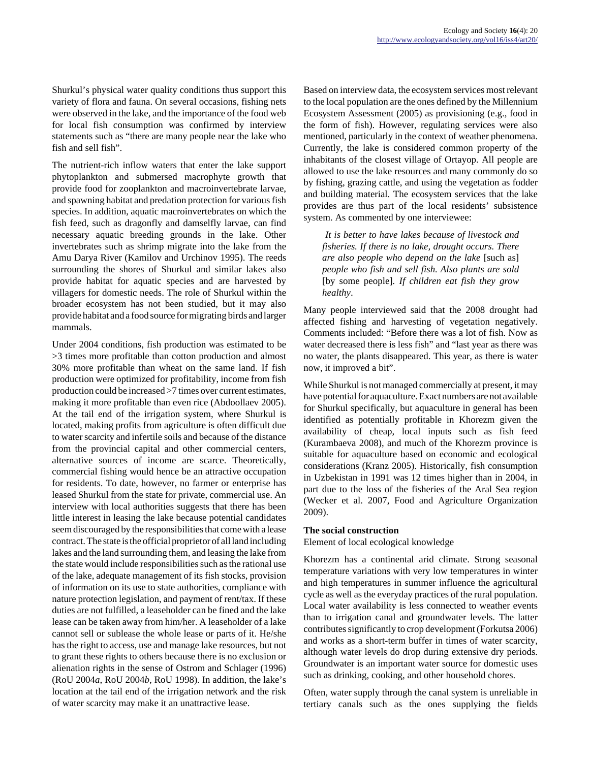Shurkul's physical water quality conditions thus support this variety of flora and fauna. On several occasions, fishing nets were observed in the lake, and the importance of the food web for local fish consumption was confirmed by interview statements such as "there are many people near the lake who fish and sell fish".

The nutrient-rich inflow waters that enter the lake support phytoplankton and submersed macrophyte growth that provide food for zooplankton and macroinvertebrate larvae, and spawning habitat and predation protection for various fish species. In addition, aquatic macroinvertebrates on which the fish feed, such as dragonfly and damselfly larvae, can find necessary aquatic breeding grounds in the lake. Other invertebrates such as shrimp migrate into the lake from the Amu Darya River (Kamilov and Urchinov 1995). The reeds surrounding the shores of Shurkul and similar lakes also provide habitat for aquatic species and are harvested by villagers for domestic needs. The role of Shurkul within the broader ecosystem has not been studied, but it may also provide habitat and a food source for migrating birds and larger mammals.

Under 2004 conditions, fish production was estimated to be >3 times more profitable than cotton production and almost 30% more profitable than wheat on the same land. If fish production were optimized for profitability, income from fish production could be increased >7 times over current estimates, making it more profitable than even rice (Abdoollaev 2005). At the tail end of the irrigation system, where Shurkul is located, making profits from agriculture is often difficult due to water scarcity and infertile soils and because of the distance from the provincial capital and other commercial centers, alternative sources of income are scarce. Theoretically, commercial fishing would hence be an attractive occupation for residents. To date, however, no farmer or enterprise has leased Shurkul from the state for private, commercial use. An interview with local authorities suggests that there has been little interest in leasing the lake because potential candidates seem discouraged by the responsibilities that come with a lease contract. The state is the official proprietor of all land including lakes and the land surrounding them, and leasing the lake from the state would include responsibilities such as the rational use of the lake, adequate management of its fish stocks, provision of information on its use to state authorities, compliance with nature protection legislation, and payment of rent/tax. If these duties are not fulfilled, a leaseholder can be fined and the lake lease can be taken away from him/her. A leaseholder of a lake cannot sell or sublease the whole lease or parts of it. He/she has the right to access, use and manage lake resources, but not to grant these rights to others because there is no exclusion or alienation rights in the sense of Ostrom and Schlager (1996) (RoU 2004*a*, RoU 2004*b*, RoU 1998). In addition, the lake's location at the tail end of the irrigation network and the risk of water scarcity may make it an unattractive lease.

Based on interview data, the ecosystem services most relevant to the local population are the ones defined by the Millennium Ecosystem Assessment (2005) as provisioning (e.g., food in the form of fish). However, regulating services were also mentioned, particularly in the context of weather phenomena. Currently, the lake is considered common property of the inhabitants of the closest village of Ortayop. All people are allowed to use the lake resources and many commonly do so by fishing, grazing cattle, and using the vegetation as fodder and building material. The ecosystem services that the lake provides are thus part of the local residents' subsistence system. As commented by one interviewee:

*It is better to have lakes because of livestock and fisheries. If there is no lake, drought occurs. There are also people who depend on the lake* [such as] *people who fish and sell fish. Also plants are sold* [by some people]*. If children eat fish they grow healthy*.

Many people interviewed said that the 2008 drought had affected fishing and harvesting of vegetation negatively. Comments included: "Before there was a lot of fish. Now as water decreased there is less fish" and "last year as there was no water, the plants disappeared. This year, as there is water now, it improved a bit".

While Shurkul is not managed commercially at present, it may have potential for aquaculture. Exact numbers are not available for Shurkul specifically, but aquaculture in general has been identified as potentially profitable in Khorezm given the availability of cheap, local inputs such as fish feed (Kurambaeva 2008), and much of the Khorezm province is suitable for aquaculture based on economic and ecological considerations (Kranz 2005). Historically, fish consumption in Uzbekistan in 1991 was 12 times higher than in 2004, in part due to the loss of the fisheries of the Aral Sea region (Wecker et al. 2007, Food and Agriculture Organization 2009).

## **The social construction**

Element of local ecological knowledge

Khorezm has a continental arid climate. Strong seasonal temperature variations with very low temperatures in winter and high temperatures in summer influence the agricultural cycle as well as the everyday practices of the rural population. Local water availability is less connected to weather events than to irrigation canal and groundwater levels. The latter contributes significantly to crop development (Forkutsa 2006) and works as a short-term buffer in times of water scarcity, although water levels do drop during extensive dry periods. Groundwater is an important water source for domestic uses such as drinking, cooking, and other household chores.

Often, water supply through the canal system is unreliable in tertiary canals such as the ones supplying the fields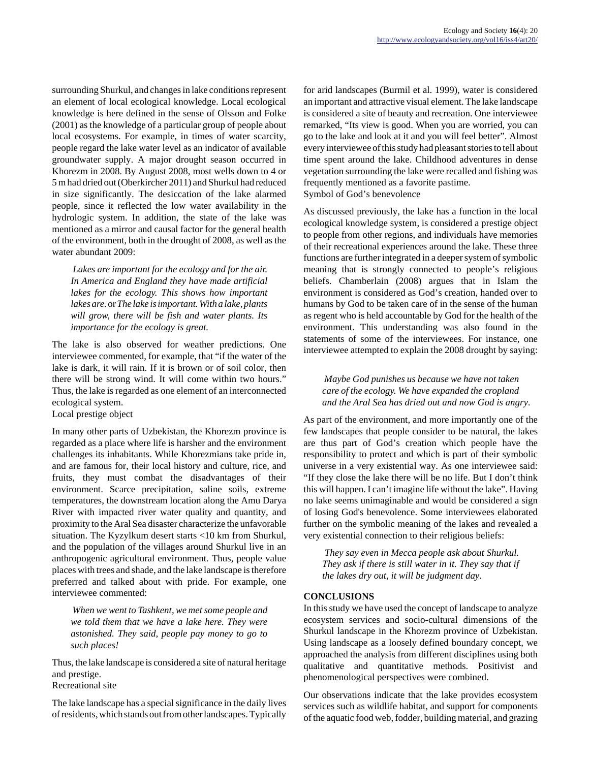surrounding Shurkul, and changes in lake conditions represent an element of local ecological knowledge. Local ecological knowledge is here defined in the sense of Olsson and Folke (2001) as the knowledge of a particular group of people about local ecosystems. For example, in times of water scarcity, people regard the lake water level as an indicator of available groundwater supply. A major drought season occurred in Khorezm in 2008. By August 2008, most wells down to 4 or 5 m had dried out (Oberkircher 2011) and Shurkul had reduced in size significantly. The desiccation of the lake alarmed people, since it reflected the low water availability in the hydrologic system. In addition, the state of the lake was mentioned as a mirror and causal factor for the general health of the environment, both in the drought of 2008, as well as the water abundant 2009:

*Lakes are important for the ecology and for the air. In America and England they have made artificial lakes for the ecology. This shows how important lakes are*. or *The lake is important. With a lake, plants will grow, there will be fish and water plants. Its importance for the ecology is great.*

The lake is also observed for weather predictions. One interviewee commented, for example, that "if the water of the lake is dark, it will rain. If it is brown or of soil color, then there will be strong wind. It will come within two hours." Thus, the lake is regarded as one element of an interconnected ecological system.

Local prestige object

In many other parts of Uzbekistan, the Khorezm province is regarded as a place where life is harsher and the environment challenges its inhabitants. While Khorezmians take pride in, and are famous for, their local history and culture, rice, and fruits, they must combat the disadvantages of their environment. Scarce precipitation, saline soils, extreme temperatures, the downstream location along the Amu Darya River with impacted river water quality and quantity, and proximity to the Aral Sea disaster characterize the unfavorable situation. The Kyzylkum desert starts <10 km from Shurkul, and the population of the villages around Shurkul live in an anthropogenic agricultural environment. Thus, people value places with trees and shade, and the lake landscape is therefore preferred and talked about with pride. For example, one interviewee commented:

*When we went to Tashkent, we met some people and we told them that we have a lake here. They were astonished. They said, people pay money to go to such places!*

Thus, the lake landscape is considered a site of natural heritage and prestige.

Recreational site

The lake landscape has a special significance in the daily lives of residents, which stands out from other landscapes. Typically for arid landscapes (Burmil et al. 1999), water is considered an important and attractive visual element. The lake landscape is considered a site of beauty and recreation. One interviewee remarked, "Its view is good. When you are worried, you can go to the lake and look at it and you will feel better". Almost every interviewee of this study had pleasant stories to tell about time spent around the lake. Childhood adventures in dense vegetation surrounding the lake were recalled and fishing was frequently mentioned as a favorite pastime. Symbol of God's benevolence

As discussed previously, the lake has a function in the local ecological knowledge system, is considered a prestige object to people from other regions, and individuals have memories of their recreational experiences around the lake. These three functions are further integrated in a deeper system of symbolic meaning that is strongly connected to people's religious beliefs. Chamberlain (2008) argues that in Islam the environment is considered as God's creation, handed over to humans by God to be taken care of in the sense of the human as regent who is held accountable by God for the health of the environment. This understanding was also found in the statements of some of the interviewees. For instance, one interviewee attempted to explain the 2008 drought by saying:

*Maybe God punishes us because we have not taken care of the ecology. We have expanded the cropland and the Aral Sea has dried out and now God is angry*.

As part of the environment, and more importantly one of the few landscapes that people consider to be natural, the lakes are thus part of God's creation which people have the responsibility to protect and which is part of their symbolic universe in a very existential way. As one interviewee said: "If they close the lake there will be no life. But I don't think this will happen. I can't imagine life without the lake". Having no lake seems unimaginable and would be considered a sign of losing God's benevolence. Some interviewees elaborated further on the symbolic meaning of the lakes and revealed a very existential connection to their religious beliefs:

*They say even in Mecca people ask about Shurkul. They ask if there is still water in it. They say that if the lakes dry out, it will be judgment day*.

# **CONCLUSIONS**

In this study we have used the concept of landscape to analyze ecosystem services and socio-cultural dimensions of the Shurkul landscape in the Khorezm province of Uzbekistan. Using landscape as a loosely defined boundary concept, we approached the analysis from different disciplines using both qualitative and quantitative methods. Positivist and phenomenological perspectives were combined.

Our observations indicate that the lake provides ecosystem services such as wildlife habitat, and support for components of the aquatic food web, fodder, building material, and grazing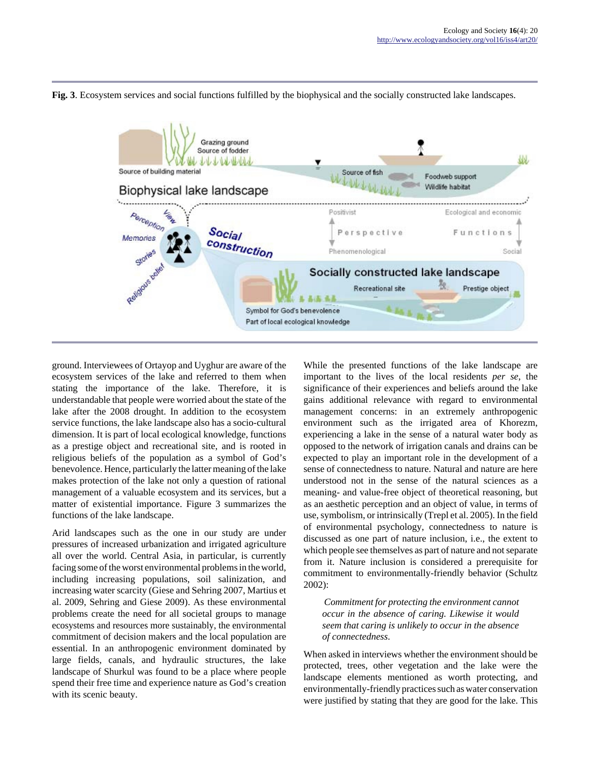**Fig. 3**. Ecosystem services and social functions fulfilled by the biophysical and the socially constructed lake landscapes.



ground. Interviewees of Ortayop and Uyghur are aware of the ecosystem services of the lake and referred to them when stating the importance of the lake. Therefore, it is understandable that people were worried about the state of the lake after the 2008 drought. In addition to the ecosystem service functions, the lake landscape also has a socio-cultural dimension. It is part of local ecological knowledge, functions as a prestige object and recreational site, and is rooted in religious beliefs of the population as a symbol of God's benevolence. Hence, particularly the latter meaning of the lake makes protection of the lake not only a question of rational management of a valuable ecosystem and its services, but a matter of existential importance. Figure 3 summarizes the functions of the lake landscape.

Arid landscapes such as the one in our study are under pressures of increased urbanization and irrigated agriculture all over the world. Central Asia, in particular, is currently facing some of the worst environmental problems in the world, including increasing populations, soil salinization, and increasing water scarcity (Giese and Sehring 2007, Martius et al. 2009, Sehring and Giese 2009). As these environmental problems create the need for all societal groups to manage ecosystems and resources more sustainably, the environmental commitment of decision makers and the local population are essential. In an anthropogenic environment dominated by large fields, canals, and hydraulic structures, the lake landscape of Shurkul was found to be a place where people spend their free time and experience nature as God's creation with its scenic beauty.

While the presented functions of the lake landscape are important to the lives of the local residents *per se*, the significance of their experiences and beliefs around the lake gains additional relevance with regard to environmental management concerns: in an extremely anthropogenic environment such as the irrigated area of Khorezm, experiencing a lake in the sense of a natural water body as opposed to the network of irrigation canals and drains can be expected to play an important role in the development of a sense of connectedness to nature. Natural and nature are here understood not in the sense of the natural sciences as a meaning- and value-free object of theoretical reasoning, but as an aesthetic perception and an object of value, in terms of use, symbolism, or intrinsically (Trepl et al. 2005). In the field of environmental psychology, connectedness to nature is discussed as one part of nature inclusion, i.e., the extent to which people see themselves as part of nature and not separate from it. Nature inclusion is considered a prerequisite for commitment to environmentally-friendly behavior (Schultz 2002):

*Commitment for protecting the environment cannot occur in the absence of caring. Likewise it would seem that caring is unlikely to occur in the absence of connectedness*.

When asked in interviews whether the environment should be protected, trees, other vegetation and the lake were the landscape elements mentioned as worth protecting, and environmentally-friendly practices such as water conservation were justified by stating that they are good for the lake. This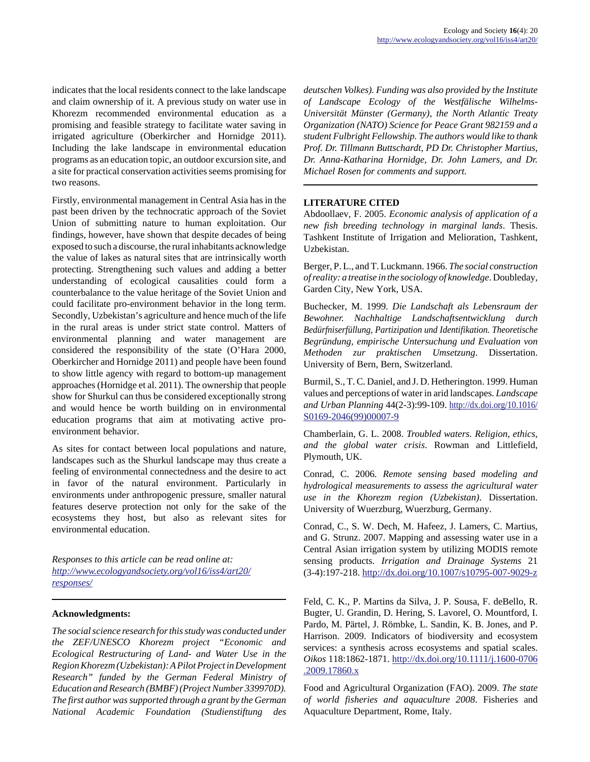indicates that the local residents connect to the lake landscape and claim ownership of it. A previous study on water use in Khorezm recommended environmental education as a promising and feasible strategy to facilitate water saving in irrigated agriculture (Oberkircher and Hornidge 2011). Including the lake landscape in environmental education programs as an education topic, an outdoor excursion site, and a site for practical conservation activities seems promising for two reasons.

Firstly, environmental management in Central Asia has in the past been driven by the technocratic approach of the Soviet Union of submitting nature to human exploitation. Our findings, however, have shown that despite decades of being exposed to such a discourse, the rural inhabitants acknowledge the value of lakes as natural sites that are intrinsically worth protecting. Strengthening such values and adding a better understanding of ecological causalities could form a counterbalance to the value heritage of the Soviet Union and could facilitate pro-environment behavior in the long term. Secondly, Uzbekistan's agriculture and hence much of the life in the rural areas is under strict state control. Matters of environmental planning and water management are considered the responsibility of the state (O'Hara 2000, Oberkircher and Hornidge 2011) and people have been found to show little agency with regard to bottom-up management approaches (Hornidge et al. 2011). The ownership that people show for Shurkul can thus be considered exceptionally strong and would hence be worth building on in environmental education programs that aim at motivating active proenvironment behavior.

As sites for contact between local populations and nature, landscapes such as the Shurkul landscape may thus create a feeling of environmental connectedness and the desire to act in favor of the natural environment. Particularly in environments under anthropogenic pressure, smaller natural features deserve protection not only for the sake of the ecosystems they host, but also as relevant sites for environmental education.

*Responses to this article can be read online at: [http://www](http://www.ecologyandsociety.org/vol16/iss4/art20/responses/).ecologyandsociety.org/vol16/iss4/art20/ responses/*

## **Acknowledgments:**

*The social science research for this study was conducted under the ZEF/UNESCO Khorezm project "Economic and Ecological Restructuring of Land- and Water Use in the Region Khorezm (Uzbekistan): A Pilot Project in Development Research" funded by the German Federal Ministry of Education and Research (BMBF) (Project Number 339970D). The first author was supported through a grant by the German National Academic Foundation (Studienstiftung des*

*deutschen Volkes). Funding was also provided by the Institute of Landscape Ecology of the Westfälische Wilhelms-Universität Münster (Germany), the North Atlantic Treaty Organization (NATO) Science for Peace Grant 982159 and a student Fulbright Fellowship. The authors would like to thank Prof. Dr. Tillmann Buttschardt, PD Dr. Christopher Martius, Dr. Anna-Katharina Hornidge, Dr. John Lamers, and Dr. Michael Rosen for comments and support.*

#### **LITERATURE CITED**

Abdoollaev, F. 2005. *Economic analysis of application of a new fish breeding technology in marginal lands*. Thesis. Tashkent Institute of Irrigation and Melioration, Tashkent, Uzbekistan.

Berger, P. L., and T. Luckmann. 1966. *The social construction of reality: a treatise in the sociology of knowledge*. Doubleday, Garden City, New York, USA.

Buchecker, M. 1999. *Die Landschaft als Lebensraum der Bewohner. Nachhaltige Landschaftsentwicklung durch Bedürfniserfüllung, Partizipation und Identifikation. Theoretische Begründung, empirische Untersuchung und Evaluation von Methoden zur praktischen Umsetzung*. Dissertation. University of Bern, Bern, Switzerland.

Burmil, S., T. C. Daniel, and J. D. Hetherington. 1999. Human values and perceptions of water in arid landscapes. *Landscape and Urban Planning* 44(2-3):99-109. [http://dx.doi.org/10.1016/](http://dx.doi.org/10.1016/S0169-2046(99)00007-9) [S0169-2046\(99\)00007-9](http://dx.doi.org/10.1016/S0169-2046(99)00007-9)

Chamberlain, G. L. 2008. *Troubled waters. Religion, ethics, and the global water crisis*. Rowman and Littlefield, Plymouth, UK.

Conrad, C. 2006. *Remote sensing based modeling and hydrological measurements to assess the agricultural water use in the Khorezm region (Uzbekistan)*. Dissertation. University of Wuerzburg, Wuerzburg, Germany.

Conrad, C., S. W. Dech, M. Hafeez, J. Lamers, C. Martius, and G. Strunz. 2007. Mapping and assessing water use in a Central Asian irrigation system by utilizing MODIS remote sensing products. *Irrigation and Drainage Systems* 21 (3-4):197-218.<http://dx.doi.org/10.1007/s10795-007-9029-z>

Feld, C. K., P. Martins da Silva, J. P. Sousa, F. deBello, R. Bugter, U. Grandin, D. Hering, S. Lavorel, O. Mountford, I. Pardo, M. Pärtel, J. Römbke, L. Sandin, K. B. Jones, and P. Harrison. 2009. Indicators of biodiversity and ecosystem services: a synthesis across ecosystems and spatial scales. *Oikos* 118:1862-1871. [http://dx.doi.org/10.1111/j.1600-0706](http://dx.doi.org/10.1111/j.1600-0706.2009.17860.x) [.2009.17860.x](http://dx.doi.org/10.1111/j.1600-0706.2009.17860.x)

Food and Agricultural Organization (FAO). 2009. *The state of world fisheries and aquaculture 2008*. Fisheries and Aquaculture Department, Rome, Italy.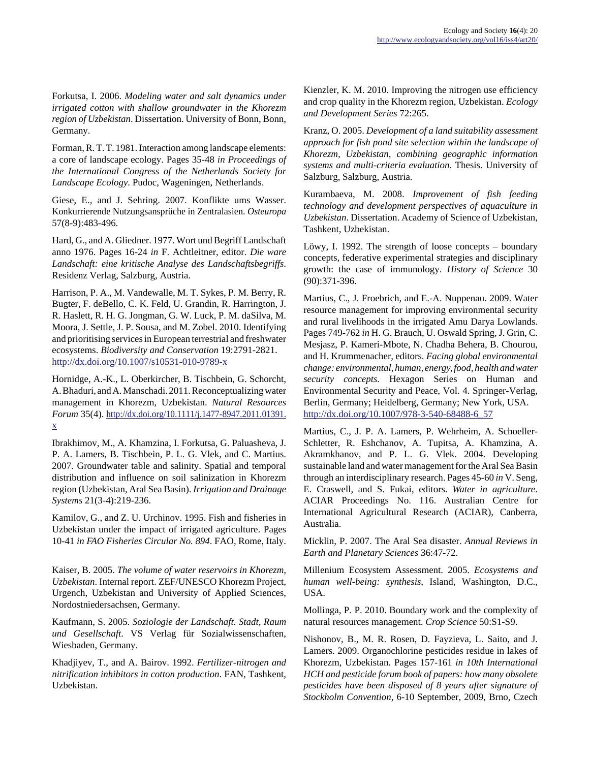Forkutsa, I. 2006. *Modeling water and salt dynamics under irrigated cotton with shallow groundwater in the Khorezm region of Uzbekistan*. Dissertation. University of Bonn, Bonn, Germany.

Forman, R. T. T. 1981. Interaction among landscape elements: a core of landscape ecology. Pages 35-48 *in Proceedings of the International Congress of the Netherlands Society for Landscape Ecology*. Pudoc, Wageningen, Netherlands.

Giese, E., and J. Sehring. 2007. Konflikte ums Wasser. Konkurrierende Nutzungsansprüche in Zentralasien. *Osteuropa* 57(8-9):483-496.

Hard, G., and A. Gliedner. 1977. Wort und Begriff Landschaft anno 1976. Pages 16-24 *in* F. Achtleitner, editor. *Die ware Landschaft: eine kritische Analyse des Landschaftsbegriffs*. Residenz Verlag, Salzburg, Austria.

Harrison, P. A., M. Vandewalle, M. T. Sykes, P. M. Berry, R. Bugter, F. deBello, C. K. Feld, U. Grandin, R. Harrington, J. R. Haslett, R. H. G. Jongman, G. W. Luck, P. M. daSilva, M. Moora, J. Settle, J. P. Sousa, and M. Zobel. 2010. Identifying and prioritising services in European terrestrial and freshwater ecosystems. *Biodiversity and Conservation* 19:2791-2821. <http://dx.doi.org/10.1007/s10531-010-9789-x>

Hornidge, A.-K., L. Oberkircher, B. Tischbein, G. Schorcht, A. Bhaduri, and A. Manschadi. 2011. Reconceptualizing water management in Khorezm, Uzbekistan. *Natural Resources Forum* 35(4). [http://dx.doi.org/10.1111/j.1477-8947.2011.01391.](http://dx.doi.org/10.1111/j.1477-8947.2011.01391.x) [x](http://dx.doi.org/10.1111/j.1477-8947.2011.01391.x)

Ibrakhimov, M., A. Khamzina, I. Forkutsa, G. Paluasheva, J. P. A. Lamers, B. Tischbein, P. L. G. Vlek, and C. Martius. 2007. Groundwater table and salinity. Spatial and temporal distribution and influence on soil salinization in Khorezm region (Uzbekistan, Aral Sea Basin). *Irrigation and Drainage Systems* 21(3-4):219-236.

Kamilov, G., and Z. U. Urchinov. 1995. Fish and fisheries in Uzbekistan under the impact of irrigated agriculture. Pages 10-41 *in FAO Fisheries Circular No. 894*. FAO, Rome, Italy.

Kaiser, B. 2005. *The volume of water reservoirs in Khorezm, Uzbekistan*. Internal report. ZEF/UNESCO Khorezm Project, Urgench, Uzbekistan and University of Applied Sciences, Nordostniedersachsen, Germany.

Kaufmann, S. 2005. *Soziologie der Landschaft. Stadt, Raum und Gesellschaft*. VS Verlag für Sozialwissenschaften, Wiesbaden, Germany.

Khadjiyev, T., and A. Bairov. 1992. *Fertilizer-nitrogen and nitrification inhibitors in cotton production*. FAN, Tashkent, Uzbekistan.

Kienzler, K. M. 2010. Improving the nitrogen use efficiency and crop quality in the Khorezm region, Uzbekistan. *Ecology and Development Series* 72:265.

Kranz, O. 2005. *Development of a land suitability assessment approach for fish pond site selection within the landscape of Khorezm, Uzbekistan, combining geographic information systems and multi-criteria evaluation*. Thesis. University of Salzburg, Salzburg, Austria.

Kurambaeva, M. 2008. *Improvement of fish feeding technology and development perspectives of aquaculture in Uzbekistan*. Dissertation. Academy of Science of Uzbekistan, Tashkent, Uzbekistan.

Löwy, I. 1992. The strength of loose concepts – boundary concepts, federative experimental strategies and disciplinary growth: the case of immunology. *History of Science* 30 (90):371-396.

Martius, C., J. Froebrich, and E.-A. Nuppenau. 2009. Water resource management for improving environmental security and rural livelihoods in the irrigated Amu Darya Lowlands. Pages 749-762 *in* H. G. Brauch, U. Oswald Spring, J. Grin, C. Mesjasz, P. Kameri-Mbote, N. Chadha Behera, B. Chourou, and H. Krummenacher, editors. *Facing global environmental change: environmental, human, energy, food, health and water security concepts.* Hexagon Series on Human and Environmental Security and Peace, Vol. 4. Springer-Verlag, Berlin, Germany; Heidelberg, Germany; New York, USA. [http://dx.doi.org/10.1007/978-3-540-68488-6\\_57](http://dx.doi.org/10.1007/978-3-540-68488-6_57)

Martius, C., J. P. A. Lamers, P. Wehrheim, A. Schoeller-Schletter, R. Eshchanov, A. Tupitsa, A. Khamzina, A. Akramkhanov, and P. L. G. Vlek. 2004. Developing sustainable land and water management for the Aral Sea Basin through an interdisciplinary research. Pages 45-60 *in* V. Seng, E. Craswell, and S. Fukai, editors. *Water in agriculture*. ACIAR Proceedings No. 116. Australian Centre for International Agricultural Research (ACIAR), Canberra, Australia.

Micklin, P. 2007. The Aral Sea disaster. *Annual Reviews in Earth and Planetary Sciences* 36:47-72.

Millenium Ecosystem Assessment. 2005. *Ecosystems and human well-being: synthesis*, Island, Washington, D.C., USA.

Mollinga, P. P. 2010. Boundary work and the complexity of natural resources management. *Crop Science* 50:S1-S9.

Nishonov, B., M. R. Rosen, D. Fayzieva, L. Saito, and J. Lamers. 2009. Organochlorine pesticides residue in lakes of Khorezm, Uzbekistan. Pages 157-161 *in 10th International HCH and pesticide forum book of papers: how many obsolete pesticides have been disposed of 8 years after signature of Stockholm Convention*, 6-10 September, 2009, Brno, Czech